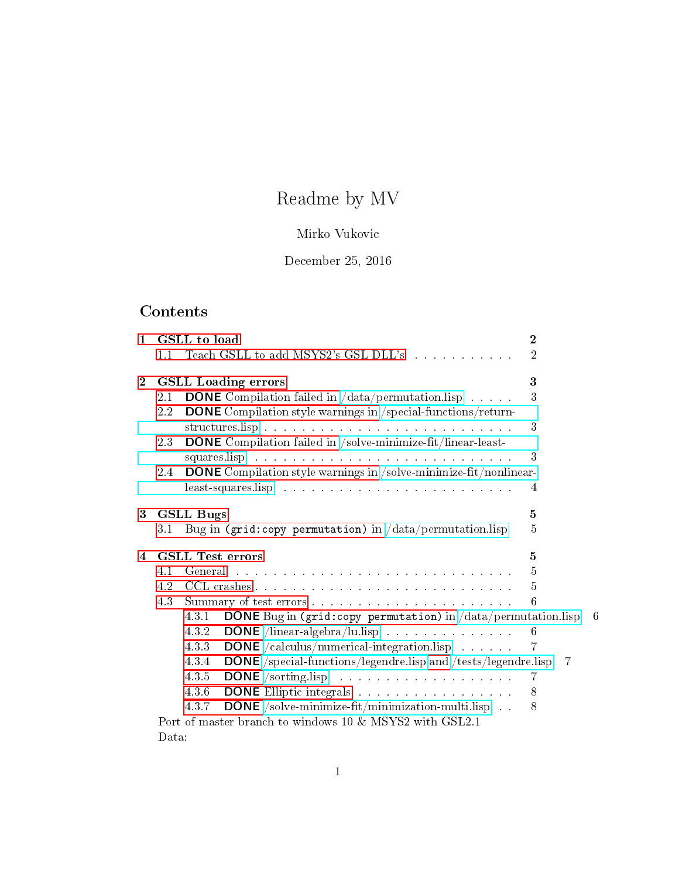# Readme by MV

# Mirko Vukovic

# December 25, 2016

# Contents

| $\mathbf{1}$   |                | GSLL to load                                                                                                                                            | $\mathbf 2$    |  |
|----------------|----------------|---------------------------------------------------------------------------------------------------------------------------------------------------------|----------------|--|
|                | 1.1            | Teach GSLL to add MSYS2's GSL DLL's                                                                                                                     | $\overline{2}$ |  |
| $\overline{2}$ |                | <b>GSLL</b> Loading errors                                                                                                                              | 3              |  |
|                | $2.1\,$<br>2.2 | <b>DONE</b> Compilation failed in $\frac{\text{data}}{\text{permutation}}$ lisp<br><b>DONE</b> Compilation style warnings in /special-functions/return- | 3              |  |
|                | 23             | <b>DONE</b> Compilation failed in /solve-minimize-fit/linear-least-                                                                                     | 3              |  |
|                |                |                                                                                                                                                         | 3              |  |
|                | 2.4            | <b>DONE</b> Compilation style warnings in /solve-minimize-fit/nonlinear-                                                                                |                |  |
|                |                |                                                                                                                                                         | 4              |  |
| 3              |                | <b>GSLL Bugs</b>                                                                                                                                        |                |  |
|                | 3.1            | Bug in (grid:copy permutation) in $/data/permutation$ .lisp                                                                                             | $\bf 5$        |  |
| 4              |                | <b>GSLL Test errors</b>                                                                                                                                 | $\mathbf{5}$   |  |
|                | 4.1            |                                                                                                                                                         | $\overline{5}$ |  |
|                | 4.2            |                                                                                                                                                         | 5              |  |
|                | 4.3            |                                                                                                                                                         | 6              |  |
|                |                | <b>DONE</b> Bug in (grid:copy permutation) in $\frac{\text{data}}{\text{permutation}}$ . lisp 6<br>4.3.1                                                |                |  |
|                |                | <b>DONE</b> /linear-algebra/lu.lisp<br>4.3.2                                                                                                            | 6              |  |
|                |                | $\textbf{DONE}$ /calculus/numerical-integration.lisp $\ldots \ldots \ldots$<br>433                                                                      | 7              |  |
|                |                | <b>DONE</b> /special-functions/legendre.lisp and /tests/legendre.lisp<br>4.3.4                                                                          | -7             |  |
|                |                | 4.3.5                                                                                                                                                   | 7              |  |
|                |                | <b>DONE</b> Elliptic integrals<br>4.3.6                                                                                                                 | 8              |  |
|                |                | <b>DONE</b> /solve-minimize-fit/minimization-multi.lisp<br>4.3.7                                                                                        | 8              |  |
|                |                | Port of master branch to windows 10 & MSYS2 with GSL2.1                                                                                                 |                |  |
|                | Data:          |                                                                                                                                                         |                |  |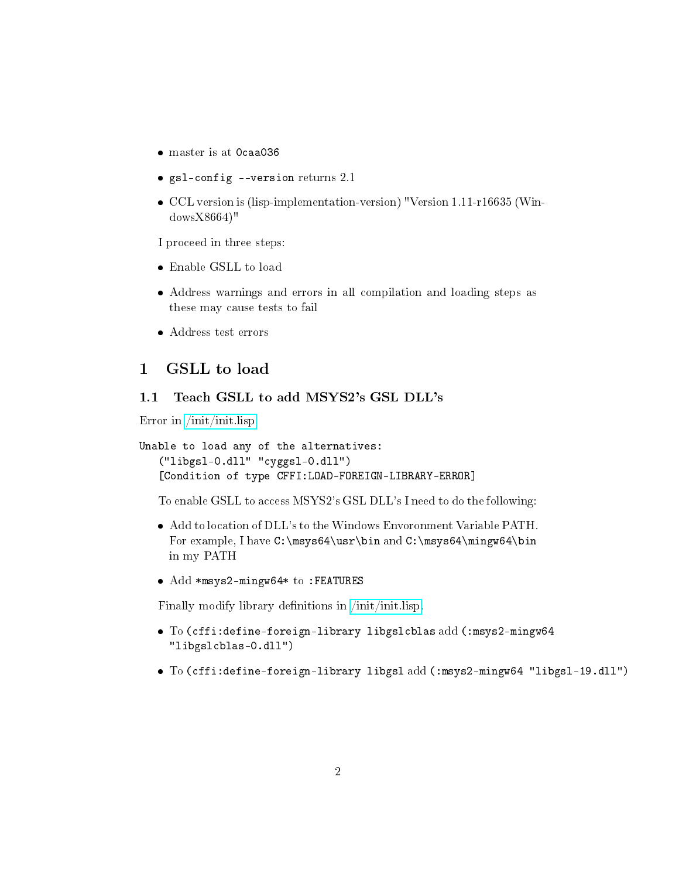- master is at 0caa036
- $\bullet$  gsl-config --version returns 2.1
- CCL version is (lisp-implementation-version) "Version 1.11-r16635 (WindowsX8664)"

I proceed in three steps:

- Enable GSLL to load
- Address warnings and errors in all compilation and loading steps as these may cause tests to fail
- Address test errors

# <span id="page-1-0"></span>1 GSLL to load

# <span id="page-1-1"></span>1.1 Teach GSLL to add MSYS2's GSL DLL's

Error in [/init/init.lisp](init/init.lisp)

```
Unable to load any of the alternatives:
   ("libgsl-0.dll" "cyggsl-0.dll")
   [Condition of type CFFI:LOAD-FOREIGN-LIBRARY-ERROR]
```
To enable GSLL to access MSYS2's GSL DLL's I need to do the following:

- Add to location of DLL's to the Windows Envoronment Variable PATH. For example, I have C:\msys64\usr\bin and C:\msys64\mingw64\bin in my PATH
- Add \*msys2-mingw64\* to :FEATURES

Finally modify library denitions in [/init/init.lisp.](init/init.lisp)

- To (cffi:define-foreign-library libgslcblas add (:msys2-mingw64 "libgslcblas-0.dll")
- To (cffi:define-foreign-library libgsl add (:msys2-mingw64 "libgsl-19.dll")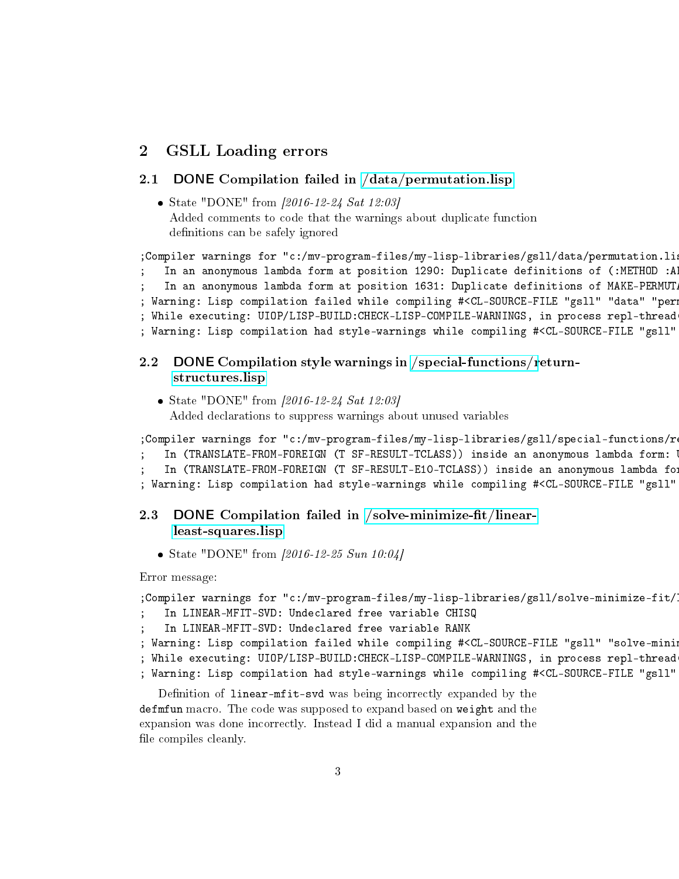# <span id="page-2-0"></span>2 GSLL Loading errors

#### <span id="page-2-1"></span>2.1 DONE Compilation failed in [/data/permutation.lisp](data/permutation.lisp)

• State "DONE" from  $[2016-12-24 \text{ Sat } 12:03]$ Added comments to code that the warnings about duplicate function definitions can be safely ignored

```
;Compiler warnings for "c:/mv-program-files/my-lisp-libraries/gsll/data/permutation.li
   In an anonymous lambda form at position 1290: Duplicate definitions of (:METHOD :A
   In an anonymous lambda form at position 1631: Duplicate definitions of MAKE-PERMUT
; Warning: Lisp compilation failed while compiling #<CL-SOURCE-FILE "gsll" "data" "per
; While executing: UIOP/LISP-BUILD:CHECK-LISP-COMPILE-WARNINGS, in process repl-thread
; Warning: Lisp compilation had style-warnings while compiling #<CL-SOURCE-FILE "gsll"
```
# <span id="page-2-2"></span>2.2 DONE Compilation style warnings in [/special-functions/r](special-functions/return-structures.lisp)eturn[structures.lisp](special-functions/return-structures.lisp)

• State "DONE" from  $[2016-12-24 \text{ Sat } 12:03]$ Added declarations to suppress warnings about unused variables

;Compiler warnings for "c:/mv-program-files/my-lisp-libraries/gsll/special-functions/r

```
In (TRANSLATE-FROM-FOREIGN (T SF-RESULT-TCLASS)) inside an anonymous lambda form:
```
In (TRANSLATE-FROM-FOREIGN (T SF-RESULT-E10-TCLASS)) inside an anonymous lambda fo

```
; Warning: Lisp compilation had style-warnings while compiling #<CL-SOURCE-FILE "gsll"
```
# <span id="page-2-3"></span>2.3 DONE Compilation failed in /solve-minimize-fit/linear[least-squares.lisp](solve-minimize-fit/linear-least-squares.lisp)

• State "DONE" from  $[2016-12-25\; Sun\;10:04]$ 

Error message:

```
;Compiler warnings for "c:/mv-program-files/my-lisp-libraries/gsll/solve-minimize-fit/
```
- In LINEAR-MFIT-SVD: Undeclared free variable CHISQ
- In LINEAR-MFIT-SVD: Undeclared free variable RANK
- ; Warning: Lisp compilation failed while compiling #<CL-SOURCE-FILE "gsll" "solve-mini
- ; While executing: UIOP/LISP-BUILD:CHECK-LISP-COMPILE-WARNINGS, in process repl-thread
- ; Warning: Lisp compilation had style-warnings while compiling #<CL-SOURCE-FILE "gsll"

Definition of linear-mfit-svd was being incorrectly expanded by the defmfun macro. The code was supposed to expand based on weight and the expansion was done incorrectly. Instead I did a manual expansion and the file compiles cleanly.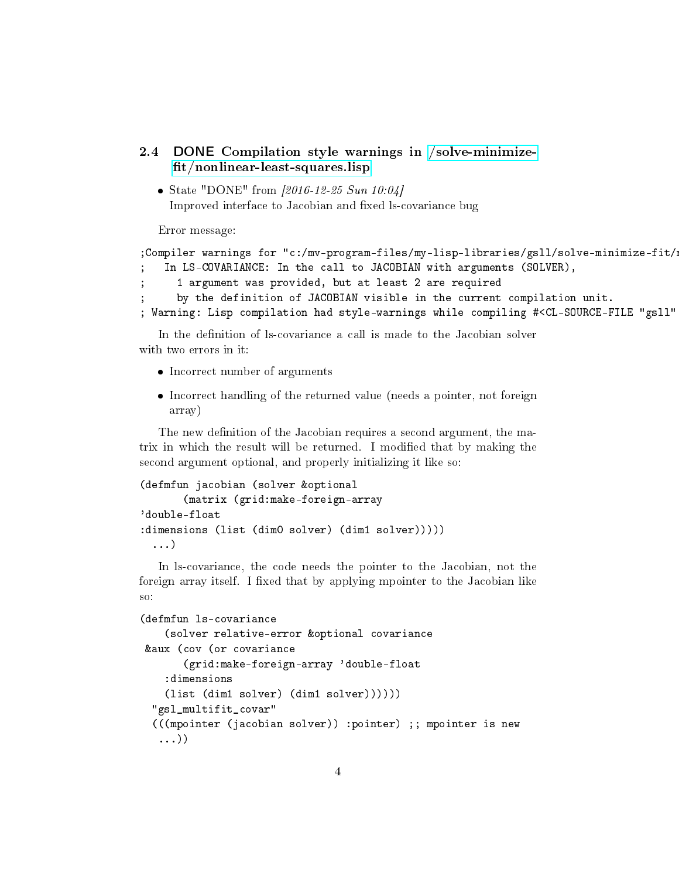```
2.4 DONE Compilation style warnings in /solve-minimize-
    fit/nonlinear-least-squares.lisp
```
• State "DONE" from  $[2016-12-25 Sun 10:04]$ Improved interface to Jacobian and fixed ls-covariance bug

Error message:

```
;Compiler warnings for "c:/mv-program-files/my-lisp-libraries/gsll/solve-minimize-fit/
   In LS-COVARIANCE: In the call to JACOBIAN with arguments (SOLVER),
     1 argument was provided, but at least 2 are required
     by the definition of JACOBIAN visible in the current compilation unit.
; Warning: Lisp compilation had style-warnings while compiling #<CL-SOURCE-FILE "gsll"
```
In the definition of ls-covariance a call is made to the Jacobian solver with two errors in it:

- Incorrect number of arguments
- Incorrect handling of the returned value (needs a pointer, not foreign array)

The new definition of the Jacobian requires a second argument, the matrix in which the result will be returned. I modied that by making the second argument optional, and properly initializing it like so:

```
(defmfun jacobian (solver &optional
       (matrix (grid:make-foreign-array
'double-float
:dimensions (list (dim0 solver) (dim1 solver)))))
  ...)
```
In ls-covariance, the code needs the pointer to the Jacobian, not the foreign array itself. I fixed that by applying mpointer to the Jacobian like so:

```
(defmfun ls-covariance
    (solver relative-error &optional covariance
&aux (cov (or covariance
       (grid:make-foreign-array 'double-float
    :dimensions
    (list (dim1 solver) (dim1 solver))))))
  "gsl_multifit_covar"
  (((mpointer (jacobian solver)) :pointer) ;; mpointer is new
   ...))
```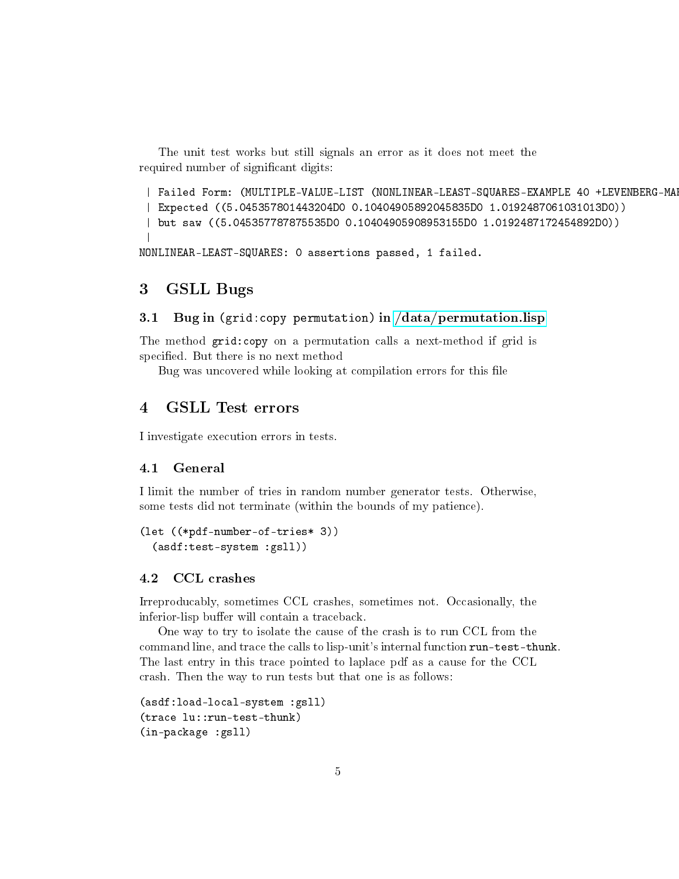The unit test works but still signals an error as it does not meet the required number of significant digits:

```
| Failed Form: (MULTIPLE-VALUE-LIST (NONLINEAR-LEAST-SQUARES-EXAMPLE 40 +LEVENBERG-MA
 | Expected ((5.045357801443204D0 0.10404905892045835D0 1.0192487061031013D0))
 | but saw ((5.045357787875535D0 0.10404905908953155D0 1.0192487172454892D0))
 |
NONLINEAR-LEAST-SQUARES: 0 assertions passed, 1 failed.
```
# <span id="page-4-0"></span>3 GSLL Bugs

### <span id="page-4-1"></span>3.1 Bug in (grid:copy permutation) in [/data/permutation.lisp](data/permutation.lisp)

The method grid:copy on a permutation calls a next-method if grid is specified. But there is no next method

Bug was uncovered while looking at compilation errors for this file

# <span id="page-4-2"></span>4 GSLL Test errors

I investigate execution errors in tests.

#### <span id="page-4-3"></span>4.1 General

I limit the number of tries in random number generator tests. Otherwise, some tests did not terminate (within the bounds of my patience).

```
(let ((*pdf-number-of-tries* 3))
  (asdf:test-system :gsll))
```
#### <span id="page-4-4"></span>4.2 CCL crashes

Irreproducably, sometimes CCL crashes, sometimes not. Occasionally, the inferior-lisp buffer will contain a traceback.

One way to try to isolate the cause of the crash is to run CCL from the command line, and trace the calls to lisp-unit's internal function run-test-thunk. The last entry in this trace pointed to laplace pdf as a cause for the CCL crash. Then the way to run tests but that one is as follows:

```
(asdf:load-local-system :gsll)
(trace lu::run-test-thunk)
(in-package :gsll)
```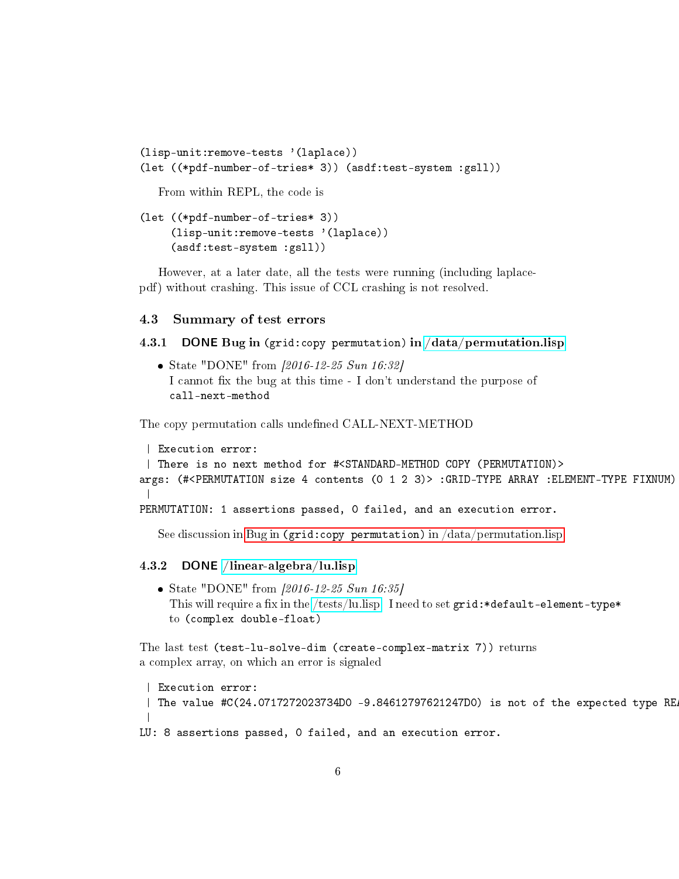```
(lisp-unit:remove-tests '(laplace))
(let ((*pdf-number-of-tries* 3)) (asdf:test-system :gsll))
```
From within REPL, the code is

```
(let ((*pdf-number-of-tries* 3))
     (lisp-unit:remove-tests '(laplace))
     (asdf:test-system :gsll))
```
However, at a later date, all the tests were running (including laplacepdf) without crashing. This issue of CCL crashing is not resolved.

#### <span id="page-5-0"></span>4.3 Summary of test errors

### <span id="page-5-1"></span>4.3.1 DONE Bug in (grid:copy permutation) in [/data/permutation.lisp](data/permutation.lisp)

• State "DONE" from [2016-12-25 Sun 16:32] I cannot fix the bug at this time - I don't understand the purpose of call-next-method

The copy permutation calls undefined CALL-NEXT-METHOD

```
| Execution error:
 | There is no next method for #<STANDARD-METHOD COPY (PERMUTATION)>
args: (#<PERMUTATION size 4 contents (0 1 2 3)> :GRID-TYPE ARRAY :ELEMENT-TYPE FIXNUM)
 \perpPERMUTATION: 1 assertions passed, 0 failed, and an execution error.
```
See discussion in Bug in [\(grid:copy permutation\)](#page-4-1) in /data/permutation.lisp

#### <span id="page-5-2"></span>4.3.2 DONE [/linear-algebra/lu.lisp](linear-algebra/lu.lisp)

State "DONE" from [2016-12-25 Sun 16:35] This will require a fix in the [/tests/lu.lisp.](tests/lu.lisp) I need to set  $grid.*default-element-type*$ to (complex double-float)

The last test (test-lu-solve-dim (create-complex-matrix 7)) returns a complex array, on which an error is signaled

| Execution error: | The value  $\#C(24.0717272023734D0 - 9.84612797621247D0)$  is not of the expected type RE | LU: 8 assertions passed, 0 failed, and an execution error.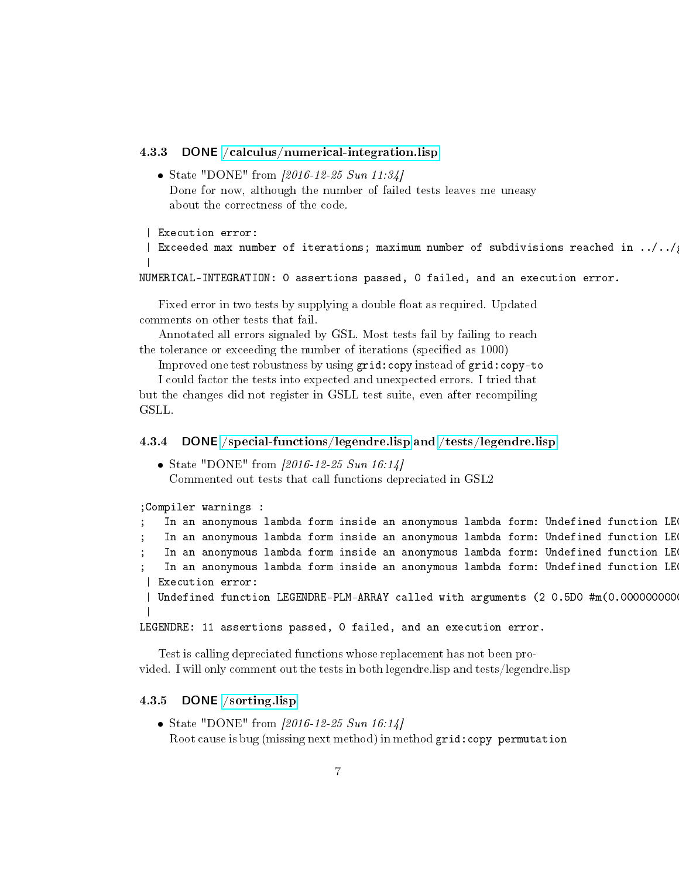### <span id="page-6-0"></span>4.3.3 DONE [/calculus/numerical-integration.lisp](calculus/numerical-integration.lisp)

• State "DONE" from [2016-12-25 Sun 11:34] Done for now, although the number of failed tests leaves me uneasy about the correctness of the code.

```
| Execution error:
```

```
| Exceeded max number of iterations; maximum number of subdivisions reached in .71/1.7|
```
NUMERICAL-INTEGRATION: 0 assertions passed, 0 failed, and an execution error.

Fixed error in two tests by supplying a double float as required. Updated comments on other tests that fail.

Annotated all errors signaled by GSL. Most tests fail by failing to reach the tolerance or exceeding the number of iterations (specified as 1000)

Improved one test robustness by using grid:copy instead of grid:copy-to

I could factor the tests into expected and unexpected errors. I tried that but the changes did not register in GSLL test suite, even after recompiling GSLL.

#### <span id="page-6-1"></span>4.3.4 DONE [/special-functions/legendre.lisp](special-functions/legendre.lisp) and [/tests/legendre.lisp](tests/legendre.lisp)

• State "DONE" from  $[2016-12-25 Sun 16:14]$ Commented out tests that call functions depreciated in GSL2

|                  | ; Compiler warnings :                                                                |  |  |  |  |
|------------------|--------------------------------------------------------------------------------------|--|--|--|--|
|                  | In an anonymous lambda form inside an anonymous lambda form: Undefined function LE   |  |  |  |  |
|                  | In an anonymous lambda form inside an anonymous lambda form: Undefined function LE   |  |  |  |  |
|                  | In an anonymous lambda form inside an anonymous lambda form: Undefined function LE   |  |  |  |  |
|                  | In an anonymous lambda form inside an anonymous lambda form: Undefined function LE   |  |  |  |  |
| Execution error: |                                                                                      |  |  |  |  |
|                  | Undefined function LEGENDRE-PLM-ARRAY called with arguments (2 0.5D0 #m(0.0000000000 |  |  |  |  |
|                  |                                                                                      |  |  |  |  |

LEGENDRE: 11 assertions passed, 0 failed, and an execution error.

Test is calling depreciated functions whose replacement has not been provided. I will only comment out the tests in both legendre.lisp and tests/legendre.lisp

# <span id="page-6-2"></span>4.3.5 DONE [/sorting.lisp](sorting.lisp)

• State "DONE" from  $[2016-12-25 Sun 16:14]$ Root cause is bug (missing next method) in method grid:copy permutation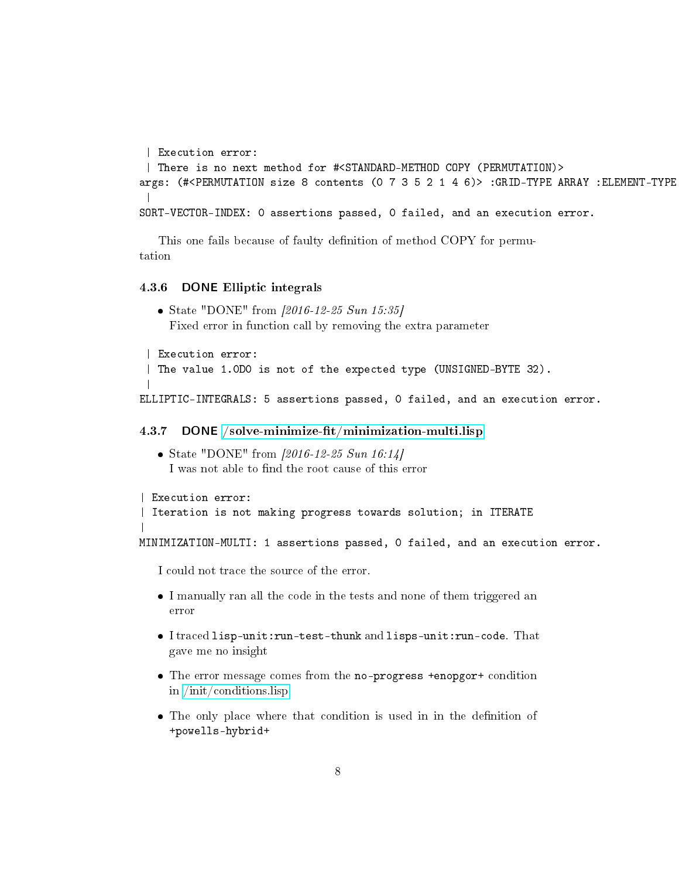```
| Execution error:
| There is no next method for #<STANDARD-METHOD COPY (PERMUTATION)>
args: (#<PERMUTATION size 8 contents (0 7 3 5 2 1 4 6)> :GRID-TYPE ARRAY :ELEMENT-TYPE
|
SORT-VECTOR-INDEX: 0 assertions passed, 0 failed, and an execution error.
```
This one fails because of faulty definition of method COPY for permutation

#### <span id="page-7-0"></span>4.3.6 DONE Elliptic integrals

```
State "DONE" from [2016-12-25 Sun 15:35]
 Fixed error in function call by removing the extra parameter
```

```
| Execution error:
 | The value 1.0D0 is not of the expected type (UNSIGNED-BYTE 32).
 |
ELLIPTIC-INTEGRALS: 5 assertions passed, 0 failed, and an execution error.
```
#### <span id="page-7-1"></span>4.3.7 DONE /solve-minimize-fit/minimization-multi.lisp

• State "DONE" from  $[2016-12-25 Sun 16:14]$ I was not able to find the root cause of this error

```
| Execution error:
| Iteration is not making progress towards solution; in ITERATE
|
```
MINIMIZATION-MULTI: 1 assertions passed, 0 failed, and an execution error.

I could not trace the source of the error.

- I manually ran all the code in the tests and none of them triggered an error
- I traced lisp-unit:run-test-thunk and lisps-unit:run-code. That gave me no insight
- The error message comes from the no-progress +enopgor+ condition in [/init/conditions.lisp](init/conditions.lisp)
- The only place where that condition is used in in the definition of +powells-hybrid+